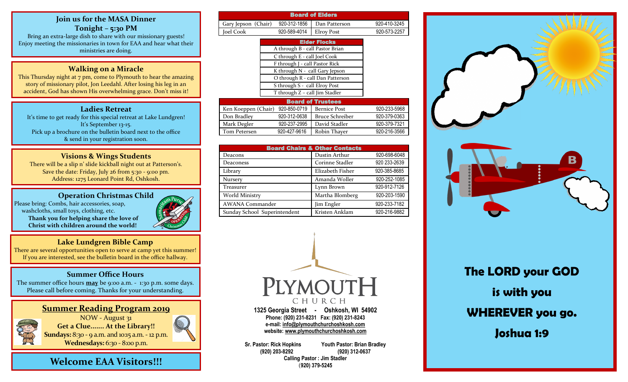#### **Join us for the MASA Dinner Tonight – 5:30 PM**

Bring an extra-large dish to share with our missionary guests! Enjoy meeting the missionaries in town for EAA and hear what their ministries are doing.

### **Walking on a Miracle**

This Thursday night at 7 pm, come to Plymouth to hear the amazing story of missionary pilot, Jon Leedahl. After losing his leg in an accident, God has shown His overwhelming grace. Don't miss it!

## **Ladies Retreat**

It's time to get ready for this special retreat at Lake Lundgren! It's September 13-15. Pick up a brochure on the bulletin board next to the office & send in your registration soon.

## **Visions & Wings Students**

There will be a slip n' slide kickball night out at Patterson's. Save the date: Friday, July 26 from 5:30 - 9:00 pm. Address: 1275 Leonard Point Rd, Oshkosh.

#### **Operation Christmas Child** Please bring: Combs, hair accessories, soap, washcloths, small toys, clothing, etc.  **Thank you for helping share the love of Christ with children around the world!**



#### **Lake Lundgren Bible Camp**

There are several opportunities open to serve at camp yet this summer! If you are interested, see the bulletin board in the office hallway.

### **Summer Office Hours**

The summer office hours **may** be 9:00 a.m. - 1:30 p.m. some days. Please call before coming. Thanks for your understanding.

## **Summer Reading Program 2019**



NOW - August 31 **Get a Clue....... At the Library!! Sundays:** 8:30 - 9 a.m. and 10:15 a.m. - 12 p.m.

**Wednesdays:** 6:30 - 8:00 p.m.

**Welcome EAA Visitors!!!**

| <b>Board of Elders</b>           |              |                        |              |  |  |
|----------------------------------|--------------|------------------------|--------------|--|--|
| Gary Jepson (Chair)              | 920-312-1856 | Dan Patterson          | 920-410-3245 |  |  |
| Joel Cook                        | 920-589-4014 | <b>Elroy Post</b>      | 920-573-2257 |  |  |
|                                  |              | <b>Elder Flocks</b>    |              |  |  |
| A through B - call Pastor Brian  |              |                        |              |  |  |
| C through E - call Joel Cook     |              |                        |              |  |  |
| F through J - call Pastor Rick   |              |                        |              |  |  |
| K through N - call Gary Jepson   |              |                        |              |  |  |
| O through R - call Dan Patterson |              |                        |              |  |  |
| S through S - call Elroy Post    |              |                        |              |  |  |
| T through Z - call Jim Stadler   |              |                        |              |  |  |
| <b>Board of Trustees</b>         |              |                        |              |  |  |
| Ken Koeppen (Chair)              | 920-850-0719 | <b>Bernice Post</b>    | 920-233-5968 |  |  |
| Don Bradley                      | 920-312-0638 | <b>Bruce Schreiber</b> | 920-379-0363 |  |  |
| Mark Degler                      | 920-237-2995 | David Stadler          | 920-379-7321 |  |  |
| Tom Petersen                     | 920-427-9616 | Robin Thayer           | 920-216-3566 |  |  |

| <b>Board Chairs &amp; Other Contacts</b> |                  |              |  |  |
|------------------------------------------|------------------|--------------|--|--|
| Deacons                                  | Dustin Arthur    | 920-698-6048 |  |  |
| Deaconess                                | Corinne Stadler  | 920 233-2639 |  |  |
| Library                                  | Elizabeth Fisher | 920-385-8685 |  |  |
| <b>Nursery</b>                           | Amanda Woller    | 920-252-1085 |  |  |
| <b>Treasurer</b>                         | Lynn Brown       | 920-912-7126 |  |  |
| World Ministry                           | Martha Blomberg  | 920-203-1590 |  |  |
| <b>AWANA Commander</b>                   | Jim Engler       | 920-233-7182 |  |  |
| Sunday School Superintendent             | Kristen Anklam   | 920-216-9882 |  |  |



**1325 Georgia Street - Oshkosh, WI 54902 Phone: (920) 231-8231 Fax: (920) 231-8243 e-mail: [info@plymouthchurchoshkosh.com](mailto:info@plymouthchurchoshkosh.com)  website: [www.plymouthchurchoshkosh.com](http://www.plymouthchurchoshkosh.com/)**

**Sr. Pastor: Rick Hopkins Youth Pastor: Brian Bradley (920) 203-8292 (920) 312-0637 Calling Pastor : Jim Stadler**  (**920) 379-5245** 



**The LORD your GOD is with you WHEREVER you go. Joshua 1:9**